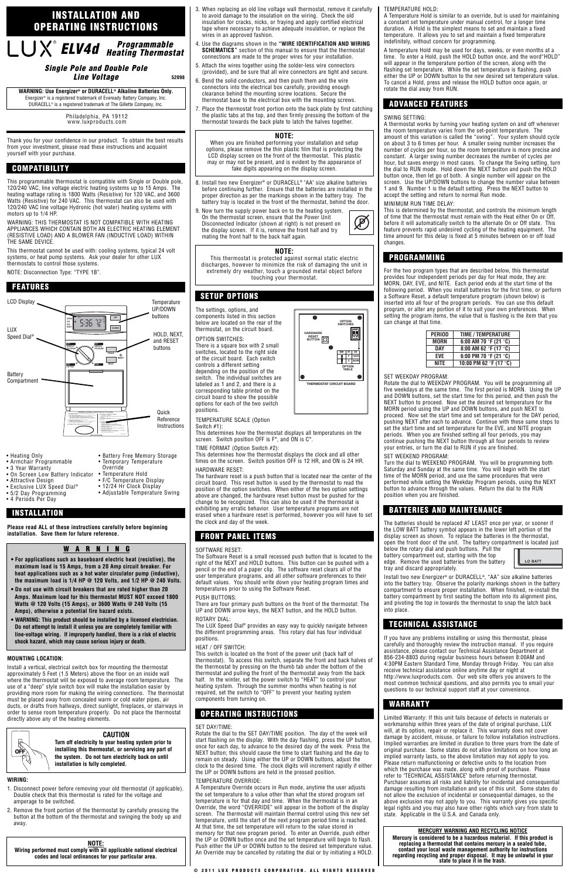Thank you for your confidence in our product. To obtain the best results from your investment, please read these instructions and acquaint yourself with your purchase.

This programmable thermostat is compatible with Single or Double pole, 120/240 VAC, line voltage electric heating systems up to 15 Amps. The heating wattage rating is 1800 Watts (Resistive) for 120 VAC, and 3600 Watts (Resistive) for 240 VAC. This thermostat can also be used with 120/240 VAC line voltage Hydronic (hot water) heating systems with motors up to 1/4 HP.

WARNING: THIS THERMOSTAT IS NOT COMPATIBLE WITH HEATING APPLIANCES WHICH CONTAIN BOTH AN ELECTRIC HEATING ELEMENT (RESISTIVE LOAD) AND A BLOWER FAN (INDUCTIVE LOAD) WITHIN THE SAME DEVICE.

This thermostat cannot be used with: cooling systems, typical 24 volt systems, or heat pump systems. Ask your dealer for other LUX thermostats to control those systems.

NOTE: Disconnection Type: "TYPE 1B".

**Please read ALL of these instructions carefully before beginning installation. Save them for future reference.**

#### **MOUNTING LOCATION:**

Install a vertical, electrical switch box for mounting the thermostat approximately 5 Feet (1.5 Meters) above the floor on an inside wall where the thermostat will be exposed to average room temperature. The use of a "deep" style switch box will make the installation easier by providing more room for making the wiring connections. The thermostat must be placed away from concealed warm or cold water pipes, air ducts, or drafts from hallways, direct sunlight, fireplaces, or stairways in order to sense room temperature properly. Do not place the thermostat directly above any of the heating elements.

#### **WIRING:**

- 8. Install two new Energizer<sup>®</sup> or DURACELL<sup>®</sup> "AA" size alkaline batteries before continuing further. Ensure that the batteries are installed in the proper direction as per the markings shown in the battery tray. The battery tray is located in the front of the thermostat, behind the door.
- 9. Now turn the supply power back on to the heating system. On the thermostat screen, ensure that the Power Unit Disconnected Indicator (shown at right) is not present on the display screen. If it is, remove the front half and try mating the front half to the back half again.

- 1. Disconnect power before removing your old thermostat (if applicable). Double check that this thermostat is rated for the voltage and amperage to be switched.
- 2. Remove the front portion of the thermostat by carefully pressing the button at the bottom of the thermostat and swinging the body up and away.
- 3. When replacing an old line voltage wall thermostat, remove it carefully to avoid damage to the insulation on the wiring. Check the old insulation for cracks, nicks, or fraying and apply certified electrical tape where necessary to achieve adequate insulation, or replace the wires in an approved fashion.
- 4. Use the diagrams shown in the **"WIRE IDENTIFICATION AND WIRING SCHEMATICS"** section of this manual to ensure that the thermostat connections are made to the proper wires for your installation.
- 5. Attach the wires together using the solder-less wire connectors (provided), and be sure that all wire connectors are tight and secure.
- 6. Bend the solid conductors, and then push them and the wire connectors into the electrical box carefully, providing enough clearance behind the mounting screw locations. Secure the thermostat base to the electrical box with the mounting screws.
- 7. Place the thermostat front portion onto the back plate by first catching the plastic tabs at the top, and then firmly pressing the bottom of the thermostat towards the back plate to latch the halves together.

The settings, options, and components listed in this section below are located on the rear of the thermostat, on the circuit board.

#### OPTION SWITCHES:

There is a square box with 2 small switches, located to the right side of the circuit board. Each switch controls a different setting depending on the position of the switch. The individual switches are labeled as 1 and 2, and there is a corresponding table printed on the circuit board to show the possible options for each of the two switch positions.

TEMPERATURE SCALE (Option Switch #1):

This determines how the thermostat displays all temperatures on the screen. Switch position OFF is F°, and ON is C°.

TIME FORMAT (Option Switch #2):

This determines how the thermostat displays the clock and all other times on the screen. Switch position OFF is 12 HR, and ON is 24 HR. HARDWARE RESET:

The hardware reset is a push button that is located near the center of the circuit board. This reset button is used by the thermostat to read the position of the option switches. When either of the two option settings above are changed, the hardware reset button must be pushed for the change to be recognized. This can also be used if the thermostat is exhibiting any erratic behavior. User temperature programs are not erased when a hardware reset is performed, however you will have to set the clock and day of the week.

### SOFTWARE RESET:

The Software Reset is a small recessed push button that is located to the right of the NEXT and HOLD buttons. This button can be pushed with a pencil or the end of a paper clip. The software reset clears all of the user temperature programs, and all other software preferences to their default values. You should write down your heating program times and temperatures prior to using the Software Reset.

#### PUSH BUTTONS:

There are four primary push buttons on the front of the thermostat: The UP and DOWN arrow keys, the NEXT button, and the HOLD button. ROTARY DIAL:

The LUX Speed Dial® provides an easy way to quickly navigate between the different programming areas. This rotary dial has four individual positions.

HEAT / OFF SWITCH:

This switch is located on the front of the power unit (back half of thermostat). To access this switch, separate the front and back halves of the thermostat by pressing on the thumb tab under the bottom of the thermostat and pulling the front of the thermostat away from the back half. In the winter, set the power switch to "HEAT" to control your heating system. Through the summer months when heating is not required, set the switch to "OFF" to prevent your heating system components from turning on.

#### SET DAY/TIME:

Rotate the dial to the SET DAY/TIME position. The day of the week will start flashing on the display. With the day flashing, press the UP button, once for each day, to advance to the desired day of the week. Press the NEXT button; this should cause the time to start flashing and the day to remain on steady. Using either the UP or DOWN buttons, adjust the clock to the desired time. The clock digits will increment rapidly if either the UP or DOWN buttons are held in the pressed position.

#### TEMPERATURE OVERRIDE:

**WARNING: Use Energizer® or DURACELL® Alkaline Batteries Only.** Energizer® is a registered trademark of Eveready Battery Company, Inc. DURACELL<sup>®</sup> is a registered trademark of The Gillette Company, Inc.

> A Temperature Override occurs in Run mode, anytime the user adjusts the set temperature to a value other than what the stored program set temperature is for that day and time. When the thermostat is in an Override, the word "OVERRIDE" will appear in the bottom of the display screen. The thermostat will maintain thermal control using this new set temperature, until the start of the next program period time is reached. At that time, the set temperature will return to the value stored in memory for that new program period. To enter an Override, push either the UP or DOWN button once and the set temperature will begin to flash. Push either the UP or DOWN button to the desired set temperature value. An Override may be cancelled by rotating the dial or by initiating a HOLD.

#### TEMPERATURE HOLD:

A Temperature Hold is similar to an override, but is used for maintaining a constant set temperature under manual control, for a longer time duration. A Hold is the simplest means to set and maintain a fixed temperature. It allows you to set and maintain a fixed temperature indefinitely, without concern for programming.

A temperature Hold may be used for days, weeks, or even months at a time. To enter a Hold, push the HOLD button once, and the word"HOLD" will appear in the temperature portion of the screen, along with the flashing set temperature. While the set temperature is flashing, push either the UP or DOWN button to the new desired set temperature value. To cancel a Hold, press and release the HOLD button once again, or rotate the dial away from RUN.

### SWING SETTING:

A thermostat works by turning your heating system on and off whenever the room temperature varies from the set-point temperature. The amount of this variation is called the "swing". Your system should cycle on about 3 to 6 times per hour. A smaller swing number increases the number of cycles per hour, so the room temperature is more precise and constant. A larger swing number decreases the number of cycles per hour, but saves energy in most cases. To change the Swing setting, turn the dial to RUN mode. Hold down the NEXT button and push the HOLD button once, then let go of both. A single number will appear on the screen. Use the UP/DOWN buttons to change the number value between 1 and 9. Number 1 is the default setting. Press the NEXT button to accept the setting and return to normal Run mode.

#### MINIMUM RUN TIME DELAY:

This is determined by the thermostat, and controls the minimum length of time that the thermostat must remain with the Heat either On or Off, before it will automatically switch to the alternate On or Off state. This feature prevents rapid undesired cycling of the heating equipment. The time amount for this delay is fixed at 5 minutes between on or off load changes.

For the two program types that are described below, this thermostat provides four independent periods per day for Heat mode, they are: MORN, DAY, EVE, and NITE. Each period ends at the start time of the following period. When you install batteries for the first time, or perform a Software Reset, a default temperature program (shown below) is inserted into all four of the program periods. You can use this default program, or alter any portion of it to suit your own preferences. When setting the program items, the value that is flashing is the item that you can change at that time.

#### SET WEEKDAY PROGRAM:

Rotate the dial to WEEKDAY PROGRAM. You will be programming all five weekdays at the same time. The first period is MORN. Using the UP and DOWN buttons, set the start time for this period, and then push the NEXT button to proceed. Now set the desired set temperature for the MORN period using the UP and DOWN buttons, and push NEXT to proceed. Now set the start time and set temperature for the DAY period, pushing NEXT after each to advance. Continue with these same steps to set the start time and set temperature for the EVE, and NITE program periods. When you are finished setting all four periods, you may continue pushing the NEXT button through all four periods to review your entries, or turn the dial to RUN if you are finished.

#### SET WEEKEND PROGRAM:

Turn the dial to WEEKEND PROGRAM. You will be programming both Saturday and Sunday at the same time. You will begin with the start time of the MORN period, and use the same procedures that were performed while setting the Weekday Program periods, using the NEXT button to advance through the values. Return the dial to the RUN position when you are finished.

The batteries should be replaced AT LEAST once per year, or sooner if the LOW BATT battery symbol appears in the lower left portion of the display screen as shown. To replace the batteries in the thermostat, open the front door of the unit. The battery compartment is located just below the rotary dial and push buttons. Pull the

battery compartment out, starting with the top edge. Remove the used batteries from the battery tray and discard appropriately.

Install two new Energizer® or DURACELL®, "AA" size alkaline batteries into the battery tray. Observe the polarity markings shown in the battery compartment to ensure proper installation. When finished, re-install the battery compartment by first seating the bottom into its alignment pins, and pivoting the top in towards the thermostat to snap the latch back into place.

If you have any problems installing or using this thermostat, please carefully and thoroughly review the instruction manual. If you require assistance, please contact our Technical Assistance Department at 856-234-8803 during regular business hours between 8:00AM and 4:30PM Eastern Standard Time, Monday through Friday. You can also receive technical assistance online anytime day or night at http://www.luxproducts.com. Our web site offers you answers to the most common technical questions, and also permits you to email your questions to our technical support staff at your convenience.

Limited Warranty: If this unit fails because of defects in materials or workmanship within three years of the date of original purchase, LUX will, at its option, repair or replace it. This warranty does not cover damage by accident, misuse, or failure to follow installation instructions. Implied warranties are limited in duration to three years from the date of original purchase. Some states do not allow limitations on how long an implied warranty lasts, so the above limitation may not apply to you. Please return malfunctioning or defective units to the location from which the purchase was made, along with proof of purchase. Please refer to "TECHNICAL ASSISTANCE" before returning thermostat. Purchaser assumes all risks and liability for incidental and consequential damage resulting from installation and use of this unit. Some states do not allow the exclusion of incidental or consequential damages, so the above exclusion may not apply to you. This warranty gives you specific legal rights and you may also have other rights which vary from state to state. Applicable in the U.S.A. and Canada only.

### **Programmable Heating Thermostat ELV4d Single Pole and Double Pole**

**Line Voltage**

**52098**

Philadelphia, PA 19112 www.luxproducts.com

### **INSTALLATION AND OPERATING INSTRUCTIONS**

### **COMPATIBILITY**

## **FRONT PANEL ITEMS**

### **PROGRAMMING**

## **BATTERIES AND MAINTENANCE**

### **TECHNICAL ASSISTANCE**

### **WARRANTY**

### **ADVANCED FEATURES**

### **OPERATING INSTRUCTIONS**

### **SETUP OPTIONS**



- Heating Only
- Armchair Programmable
- 3 Year Warranty
- On Screen Low Battery Indicator
- Attractive Design
- Exclusive LUX Speed Dial<sup>®</sup>
- 5/2 Day Programming
- 4 Periods Per Day
- Battery Free Memory Storage • Temporary Temperature Override
	- - Temperature Hold
		- F/C Temperature Display
		- 12/24 Hr Clock Display

### • Adjustable Temperature Swing

### **WARNING**

- **For applications such as baseboard electric heat (resistive), the maximum load is 15 Amps, from a 20 Amp circuit breaker. For heat applications such as a hot water circulator pump (inductive), the maximum load is 1/4 HP @ 120 Volts, and 1/2 HP @ 240 Volts.**
- **Do not use with circuit breakers that are rated higher than 20 Amps. Maximum load for this thermostat MUST NOT exceed 1800 Watts @ 120 Volts (15 Amps), or 3600 Watts @ 240 Volts (15 Amps), otherwise a potential fire hazard exists.**
- **WARNING: This product should be installed by a licensed electrician. Do not attempt to install it unless you are completely familiar with line-voltage wiring. If improperly handled, there is a risk of electric shock hazard, which may cause serious injury or death.**

### **CAUTION**

**Turn off electricity to your heating system prior to installing this thermostat, or servicing any part of the system. Do not turn electricity back on until installation is fully completed.**

### **MERCURY WARNING AND RECYCLING NOTICE**

**Mercury is considered to be a hazardous material. If this product is replacing a thermostat that contains mercury in a sealed tube, contact your local waste management authority for instructions regarding recycling and proper disposal. It may be unlawful in your state to place it in the trash.**

### **NOTE:**

This thermostat is protected against normal static electric discharges, however to minimize the risk of damaging the unit in extremely dry weather, touch a grounded metal object before touching your thermostat.



#### **NOTE: Wiring performed must comply with all applicable national electrical codes and local ordinances for your particular area.**

### **NOTE:**

When you are finished performing your installation and setup options, please remove the thin plastic film that is protecting the LCD display screen on the front of the thermostat. This plastic may or may not be present, and is evident by the appearance of fake digits appearing on the display screen.

### **FEATURES**

### **INSTALLATION**

**1 2 ON**

 $\bullet$ 

**SW #2#1 F 12HR C 24HR**

**OPTION SWITCHES**

> **OPTION TABLE**

**HARDWARE RESET BUTTON**

**THERMOSTAT CIRCUIT BOARD**

| <b>PERIOD</b> | <b>TIME / TEMPERATURE</b>                |
|---------------|------------------------------------------|
| <b>MORN</b>   | 6:00 AM 70 °F (21 °C)                    |
| <b>DAY</b>    | 8:00 AM 62 °F (17 °C)                    |
| <b>EVE</b>    | 6:00 PM 70 °F (21 °C)                    |
| <b>NITE</b>   | 10:00 PM 62 $\degree$ F (17 $\degree$ C) |